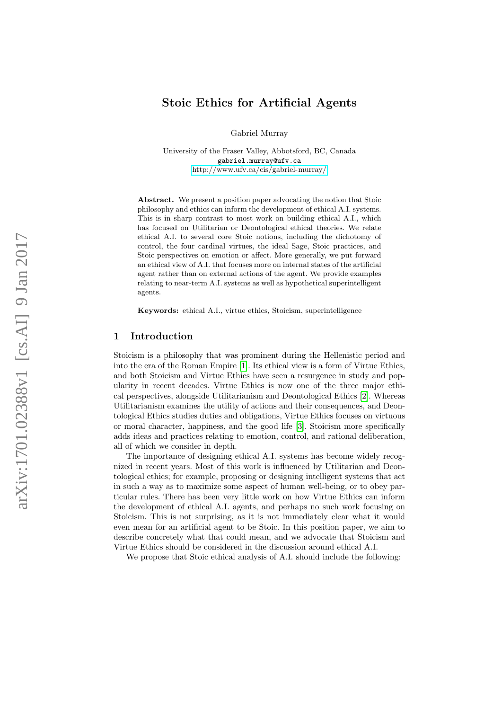# Stoic Ethics for Artificial Agents

Gabriel Murray

University of the Fraser Valley, Abbotsford, BC, Canada gabriel.murray@ufv.ca <http://www.ufv.ca/cis/gabriel-murray/>

Abstract. We present a position paper advocating the notion that Stoic philosophy and ethics can inform the development of ethical A.I. systems. This is in sharp contrast to most work on building ethical A.I., which has focused on Utilitarian or Deontological ethical theories. We relate ethical A.I. to several core Stoic notions, including the dichotomy of control, the four cardinal virtues, the ideal Sage, Stoic practices, and Stoic perspectives on emotion or affect. More generally, we put forward an ethical view of A.I. that focuses more on internal states of the artificial agent rather than on external actions of the agent. We provide examples relating to near-term A.I. systems as well as hypothetical superintelligent agents.

Keywords: ethical A.I., virtue ethics, Stoicism, superintelligence

# 1 Introduction

Stoicism is a philosophy that was prominent during the Hellenistic period and into the era of the Roman Empire [\[1\]](#page-10-0). Its ethical view is a form of Virtue Ethics, and both Stoicism and Virtue Ethics have seen a resurgence in study and popularity in recent decades. Virtue Ethics is now one of the three major ethical perspectives, alongside Utilitarianism and Deontological Ethics [\[2\]](#page-10-1). Whereas Utilitarianism examines the utility of actions and their consequences, and Deontological Ethics studies duties and obligations, Virtue Ethics focuses on virtuous or moral character, happiness, and the good life [\[3\]](#page-11-0). Stoicism more specifically adds ideas and practices relating to emotion, control, and rational deliberation, all of which we consider in depth.

The importance of designing ethical A.I. systems has become widely recognized in recent years. Most of this work is influenced by Utilitarian and Deontological ethics; for example, proposing or designing intelligent systems that act in such a way as to maximize some aspect of human well-being, or to obey particular rules. There has been very little work on how Virtue Ethics can inform the development of ethical A.I. agents, and perhaps no such work focusing on Stoicism. This is not surprising, as it is not immediately clear what it would even mean for an artificial agent to be Stoic. In this position paper, we aim to describe concretely what that could mean, and we advocate that Stoicism and Virtue Ethics should be considered in the discussion around ethical A.I.

We propose that Stoic ethical analysis of A.I. should include the following: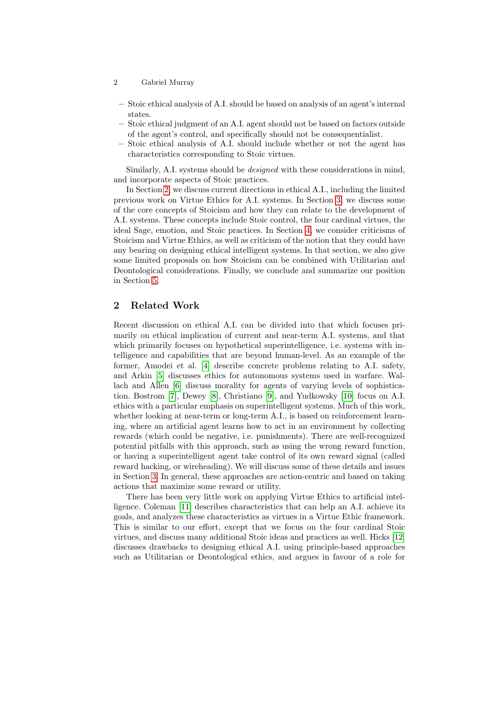- 2 Gabriel Murray
	- Stoic ethical analysis of A.I. should be based on analysis of an agent's internal states.
- Stoic ethical judgment of an A.I. agent should not be based on factors outside of the agent's control, and specifically should not be consequentialist.
- Stoic ethical analysis of A.I. should include whether or not the agent has characteristics corresponding to Stoic virtues.

Similarly, A.I. systems should be designed with these considerations in mind, and incorporate aspects of Stoic practices.

In Section [2,](#page-1-0) we discuss current directions in ethical A.I., including the limited previous work on Virtue Ethics for A.I. systems. In Section [3,](#page-2-0) we discuss some of the core concepts of Stoicism and how they can relate to the development of A.I. systems. These concepts include Stoic control, the four cardinal virtues, the ideal Sage, emotion, and Stoic practices. In Section [4,](#page-9-0) we consider criticisms of Stoicism and Virtue Ethics, as well as criticism of the notion that they could have any bearing on designing ethical intelligent systems. In that section, we also give some limited proposals on how Stoicism can be combined with Utilitarian and Deontological considerations. Finally, we conclude and summarize our position in Section [5.](#page-10-2)

# <span id="page-1-0"></span>2 Related Work

Recent discussion on ethical A.I. can be divided into that which focuses primarily on ethical implication of current and near-term A.I. systems, and that which primarily focuses on hypothetical superintelligence, i.e. systems with intelligence and capabilities that are beyond human-level. As an example of the former, Amodei et al. [\[4\]](#page-11-1) describe concrete problems relating to A.I. safety, and Arkin [\[5\]](#page-11-2) discusses ethics for autonomous systems used in warfare. Wallach and Allen [\[6\]](#page-11-3) discuss morality for agents of varying levels of sophistication. Bostrom [\[7\]](#page-11-4), Dewey [\[8\]](#page-11-5), Christiano [\[9\]](#page-11-6), and Yudkowsky [\[10\]](#page-11-7) focus on A.I. ethics with a particular emphasis on superintelligent systems. Much of this work, whether looking at near-term or long-term A.I., is based on reinforcement learning, where an artificial agent learns how to act in an environment by collecting rewards (which could be negative, i.e. punishments). There are well-recognized potential pitfalls with this approach, such as using the wrong reward function, or having a superintelligent agent take control of its own reward signal (called reward hacking, or wireheading). We will discuss some of these details and issues in Section [3.](#page-2-0) In general, these approaches are action-centric and based on taking actions that maximize some reward or utility.

There has been very little work on applying Virtue Ethics to artificial intelligence. Coleman [\[11\]](#page-11-8) describes characteristics that can help an A.I. achieve its goals, and analyzes these characteristics as virtues in a Virtue Ethic framework. This is similar to our effort, except that we focus on the four cardinal Stoic virtues, and discuss many additional Stoic ideas and practices as well. Hicks [\[12\]](#page-11-9) discusses drawbacks to designing ethical A.I. using principle-based approaches such as Utilitarian or Deontological ethics, and argues in favour of a role for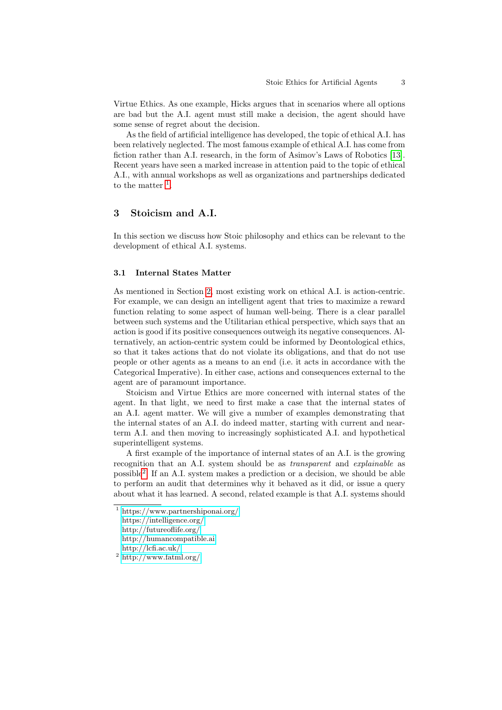Virtue Ethics. As one example, Hicks argues that in scenarios where all options are bad but the A.I. agent must still make a decision, the agent should have some sense of regret about the decision.

As the field of artificial intelligence has developed, the topic of ethical A.I. has been relatively neglected. The most famous example of ethical A.I. has come from fiction rather than A.I. research, in the form of Asimov's Laws of Robotics [\[13\]](#page-11-10). Recent years have seen a marked increase in attention paid to the topic of ethical A.I., with annual workshops as well as organizations and partnerships dedicated to the matter  $<sup>1</sup>$  $<sup>1</sup>$  $<sup>1</sup>$ .</sup>

# <span id="page-2-0"></span>3 Stoicism and A.I.

In this section we discuss how Stoic philosophy and ethics can be relevant to the development of ethical A.I. systems.

# 3.1 Internal States Matter

As mentioned in Section [2,](#page-1-0) most existing work on ethical A.I. is action-centric. For example, we can design an intelligent agent that tries to maximize a reward function relating to some aspect of human well-being. There is a clear parallel between such systems and the Utilitarian ethical perspective, which says that an action is good if its positive consequences outweigh its negative consequences. Alternatively, an action-centric system could be informed by Deontological ethics, so that it takes actions that do not violate its obligations, and that do not use people or other agents as a means to an end (i.e. it acts in accordance with the Categorical Imperative). In either case, actions and consequences external to the agent are of paramount importance.

Stoicism and Virtue Ethics are more concerned with internal states of the agent. In that light, we need to first make a case that the internal states of an A.I. agent matter. We will give a number of examples demonstrating that the internal states of an A.I. do indeed matter, starting with current and nearterm A.I. and then moving to increasingly sophisticated A.I. and hypothetical superintelligent systems.

A first example of the importance of internal states of an A.I. is the growing recognition that an A.I. system should be as transparent and explainable as possible[2](#page-2-2) . If an A.I. system makes a prediction or a decision, we should be able to perform an audit that determines why it behaved as it did, or issue a query about what it has learned. A second, related example is that A.I. systems should

<span id="page-2-1"></span><sup>1</sup> <https://www.partnershiponai.org/>

<https://intelligence.org/>

<http://futureoflife.org/>

<http://humancompatible.ai>

<span id="page-2-2"></span><http://lcfi.ac.uk/>

 $^2$ <http://www.fatml.org/>  $\,$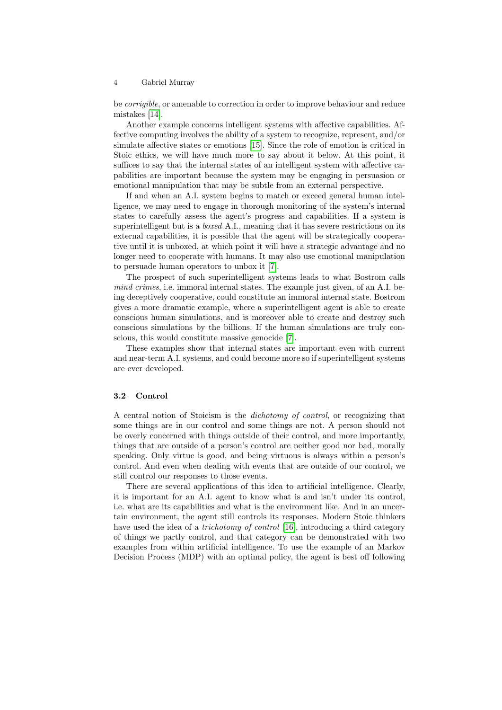be *corrigible*, or amenable to correction in order to improve behaviour and reduce mistakes [\[14\]](#page-11-11).

Another example concerns intelligent systems with affective capabilities. Affective computing involves the ability of a system to recognize, represent, and/or simulate affective states or emotions [\[15\]](#page-11-12). Since the role of emotion is critical in Stoic ethics, we will have much more to say about it below. At this point, it suffices to say that the internal states of an intelligent system with affective capabilities are important because the system may be engaging in persuasion or emotional manipulation that may be subtle from an external perspective.

If and when an A.I. system begins to match or exceed general human intelligence, we may need to engage in thorough monitoring of the system's internal states to carefully assess the agent's progress and capabilities. If a system is superintelligent but is a *boxed* A.I., meaning that it has severe restrictions on its external capabilities, it is possible that the agent will be strategically cooperative until it is unboxed, at which point it will have a strategic advantage and no longer need to cooperate with humans. It may also use emotional manipulation to persuade human operators to unbox it [\[7\]](#page-11-4).

The prospect of such superintelligent systems leads to what Bostrom calls mind crimes, i.e. immoral internal states. The example just given, of an A.I. being deceptively cooperative, could constitute an immoral internal state. Bostrom gives a more dramatic example, where a superintelligent agent is able to create conscious human simulations, and is moreover able to create and destroy such conscious simulations by the billions. If the human simulations are truly conscious, this would constitute massive genocide [\[7\]](#page-11-4).

These examples show that internal states are important even with current and near-term A.I. systems, and could become more so if superintelligent systems are ever developed.

#### 3.2 Control

A central notion of Stoicism is the dichotomy of control, or recognizing that some things are in our control and some things are not. A person should not be overly concerned with things outside of their control, and more importantly, things that are outside of a person's control are neither good nor bad, morally speaking. Only virtue is good, and being virtuous is always within a person's control. And even when dealing with events that are outside of our control, we still control our responses to those events.

There are several applications of this idea to artificial intelligence. Clearly, it is important for an A.I. agent to know what is and isn't under its control, i.e. what are its capabilities and what is the environment like. And in an uncertain environment, the agent still controls its responses. Modern Stoic thinkers have used the idea of a *trichotomy of control* [\[16\]](#page-11-13), introducing a third category of things we partly control, and that category can be demonstrated with two examples from within artificial intelligence. To use the example of an Markov Decision Process (MDP) with an optimal policy, the agent is best off following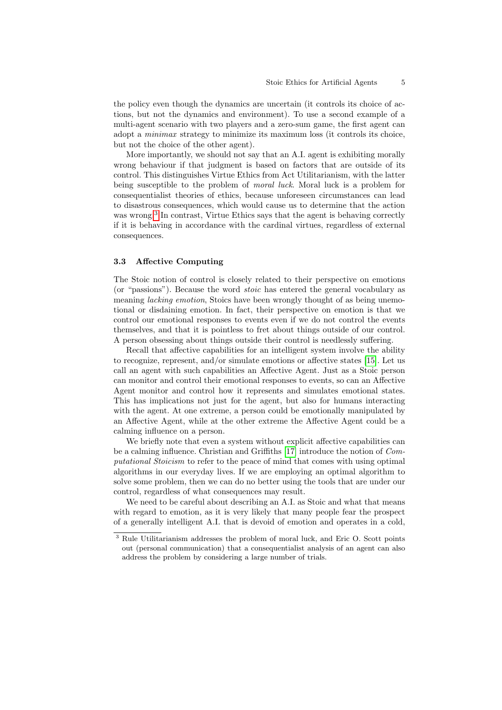the policy even though the dynamics are uncertain (it controls its choice of actions, but not the dynamics and environment). To use a second example of a multi-agent scenario with two players and a zero-sum game, the first agent can adopt a minimax strategy to minimize its maximum loss (it controls its choice, but not the choice of the other agent).

More importantly, we should not say that an A.I. agent is exhibiting morally wrong behaviour if that judgment is based on factors that are outside of its control. This distinguishes Virtue Ethics from Act Utilitarianism, with the latter being susceptible to the problem of *moral luck*. Moral luck is a problem for consequentialist theories of ethics, because unforeseen circumstances can lead to disastrous consequences, which would cause us to determine that the action was wrong.<sup>[3](#page-4-0)</sup> In contrast, Virtue Ethics says that the agent is behaving correctly if it is behaving in accordance with the cardinal virtues, regardless of external consequences.

### 3.3 Affective Computing

The Stoic notion of control is closely related to their perspective on emotions (or "passions"). Because the word stoic has entered the general vocabulary as meaning *lacking emotion*, Stoics have been wrongly thought of as being unemotional or disdaining emotion. In fact, their perspective on emotion is that we control our emotional responses to events even if we do not control the events themselves, and that it is pointless to fret about things outside of our control. A person obsessing about things outside their control is needlessly suffering.

Recall that affective capabilities for an intelligent system involve the ability to recognize, represent, and/or simulate emotions or affective states [\[15\]](#page-11-12). Let us call an agent with such capabilities an Affective Agent. Just as a Stoic person can monitor and control their emotional responses to events, so can an Affective Agent monitor and control how it represents and simulates emotional states. This has implications not just for the agent, but also for humans interacting with the agent. At one extreme, a person could be emotionally manipulated by an Affective Agent, while at the other extreme the Affective Agent could be a calming influence on a person.

We briefly note that even a system without explicit affective capabilities can be a calming influence. Christian and Griffiths [\[17\]](#page-11-14) introduce the notion of Computational Stoicism to refer to the peace of mind that comes with using optimal algorithms in our everyday lives. If we are employing an optimal algorithm to solve some problem, then we can do no better using the tools that are under our control, regardless of what consequences may result.

We need to be careful about describing an A.I. as Stoic and what that means with regard to emotion, as it is very likely that many people fear the prospect of a generally intelligent A.I. that is devoid of emotion and operates in a cold,

<span id="page-4-0"></span><sup>&</sup>lt;sup>3</sup> Rule Utilitarianism addresses the problem of moral luck, and Eric O. Scott points out (personal communication) that a consequentialist analysis of an agent can also address the problem by considering a large number of trials.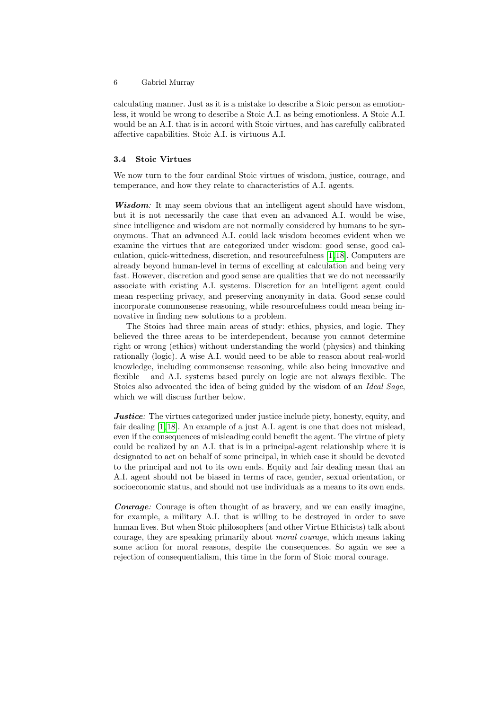calculating manner. Just as it is a mistake to describe a Stoic person as emotionless, it would be wrong to describe a Stoic A.I. as being emotionless. A Stoic A.I. would be an A.I. that is in accord with Stoic virtues, and has carefully calibrated affective capabilities. Stoic A.I. is virtuous A.I.

#### 3.4 Stoic Virtues

We now turn to the four cardinal Stoic virtues of wisdom, justice, courage, and temperance, and how they relate to characteristics of A.I. agents.

Wisdom: It may seem obvious that an intelligent agent should have wisdom, but it is not necessarily the case that even an advanced A.I. would be wise, since intelligence and wisdom are not normally considered by humans to be synonymous. That an advanced A.I. could lack wisdom becomes evident when we examine the virtues that are categorized under wisdom: good sense, good calculation, quick-wittedness, discretion, and resourcefulness [\[1,](#page-10-0)[18\]](#page-11-15). Computers are already beyond human-level in terms of excelling at calculation and being very fast. However, discretion and good sense are qualities that we do not necessarily associate with existing A.I. systems. Discretion for an intelligent agent could mean respecting privacy, and preserving anonymity in data. Good sense could incorporate commonsense reasoning, while resourcefulness could mean being innovative in finding new solutions to a problem.

The Stoics had three main areas of study: ethics, physics, and logic. They believed the three areas to be interdependent, because you cannot determine right or wrong (ethics) without understanding the world (physics) and thinking rationally (logic). A wise A.I. would need to be able to reason about real-world knowledge, including commonsense reasoning, while also being innovative and flexible – and A.I. systems based purely on logic are not always flexible. The Stoics also advocated the idea of being guided by the wisdom of an Ideal Sage, which we will discuss further below.

*Justice:* The virtues categorized under justice include piety, honesty, equity, and fair dealing  $[1, 18]$  $[1, 18]$ . An example of a just A.I. agent is one that does not mislead, even if the consequences of misleading could benefit the agent. The virtue of piety could be realized by an A.I. that is in a principal-agent relationship where it is designated to act on behalf of some principal, in which case it should be devoted to the principal and not to its own ends. Equity and fair dealing mean that an A.I. agent should not be biased in terms of race, gender, sexual orientation, or socioeconomic status, and should not use individuals as a means to its own ends.

Courage: Courage is often thought of as bravery, and we can easily imagine, for example, a military A.I. that is willing to be destroyed in order to save human lives. But when Stoic philosophers (and other Virtue Ethicists) talk about courage, they are speaking primarily about moral courage, which means taking some action for moral reasons, despite the consequences. So again we see a rejection of consequentialism, this time in the form of Stoic moral courage.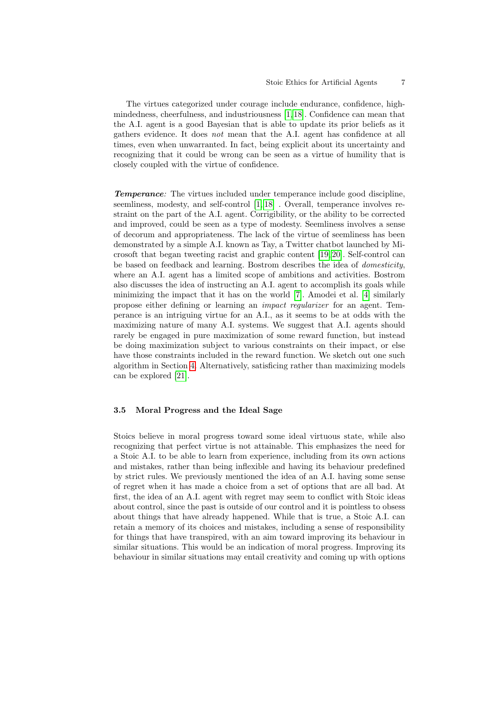The virtues categorized under courage include endurance, confidence, highmindedness, cheerfulness, and industriousness [\[1,](#page-10-0) [18\]](#page-11-15). Confidence can mean that the A.I. agent is a good Bayesian that is able to update its prior beliefs as it gathers evidence. It does not mean that the A.I. agent has confidence at all times, even when unwarranted. In fact, being explicit about its uncertainty and recognizing that it could be wrong can be seen as a virtue of humility that is closely coupled with the virtue of confidence.

Temperance: The virtues included under temperance include good discipline, seemliness, modesty, and self-control  $[1, 18]$  $[1, 18]$ . Overall, temperance involves restraint on the part of the A.I. agent. Corrigibility, or the ability to be corrected and improved, could be seen as a type of modesty. Seemliness involves a sense of decorum and appropriateness. The lack of the virtue of seemliness has been demonstrated by a simple A.I. known as Tay, a Twitter chatbot launched by Microsoft that began tweeting racist and graphic content [\[19,](#page-11-16) [20\]](#page-11-17). Self-control can be based on feedback and learning. Bostrom describes the idea of domesticity, where an A.I. agent has a limited scope of ambitions and activities. Bostrom also discusses the idea of instructing an A.I. agent to accomplish its goals while minimizing the impact that it has on the world [\[7\]](#page-11-4). Amodei et al. [\[4\]](#page-11-1) similarly propose either defining or learning an impact regularizer for an agent. Temperance is an intriguing virtue for an A.I., as it seems to be at odds with the maximizing nature of many A.I. systems. We suggest that A.I. agents should rarely be engaged in pure maximization of some reward function, but instead be doing maximization subject to various constraints on their impact, or else have those constraints included in the reward function. We sketch out one such algorithm in Section [4.](#page-9-0) Alternatively, satisficing rather than maximizing models can be explored [\[21\]](#page-11-18).

## 3.5 Moral Progress and the Ideal Sage

Stoics believe in moral progress toward some ideal virtuous state, while also recognizing that perfect virtue is not attainable. This emphasizes the need for a Stoic A.I. to be able to learn from experience, including from its own actions and mistakes, rather than being inflexible and having its behaviour predefined by strict rules. We previously mentioned the idea of an A.I. having some sense of regret when it has made a choice from a set of options that are all bad. At first, the idea of an A.I. agent with regret may seem to conflict with Stoic ideas about control, since the past is outside of our control and it is pointless to obsess about things that have already happened. While that is true, a Stoic A.I. can retain a memory of its choices and mistakes, including a sense of responsibility for things that have transpired, with an aim toward improving its behaviour in similar situations. This would be an indication of moral progress. Improving its behaviour in similar situations may entail creativity and coming up with options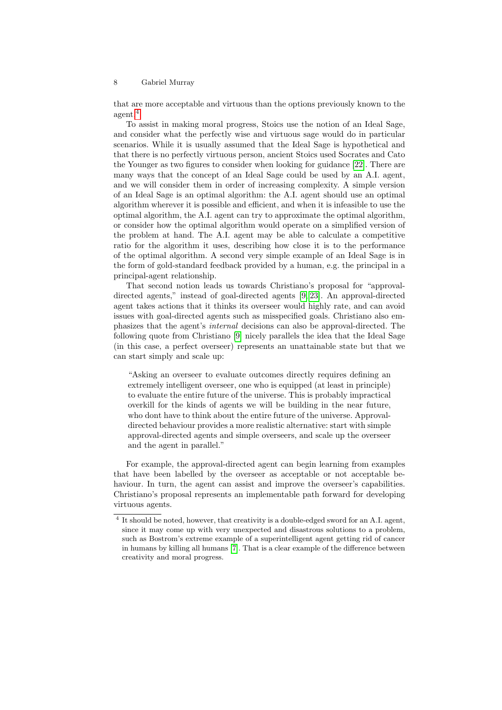that are more acceptable and virtuous than the options previously known to the agent.[4](#page-7-0)

To assist in making moral progress, Stoics use the notion of an Ideal Sage, and consider what the perfectly wise and virtuous sage would do in particular scenarios. While it is usually assumed that the Ideal Sage is hypothetical and that there is no perfectly virtuous person, ancient Stoics used Socrates and Cato the Younger as two figures to consider when looking for guidance [\[22\]](#page-11-19). There are many ways that the concept of an Ideal Sage could be used by an A.I. agent, and we will consider them in order of increasing complexity. A simple version of an Ideal Sage is an optimal algorithm: the A.I. agent should use an optimal algorithm wherever it is possible and efficient, and when it is infeasible to use the optimal algorithm, the A.I. agent can try to approximate the optimal algorithm, or consider how the optimal algorithm would operate on a simplified version of the problem at hand. The A.I. agent may be able to calculate a competitive ratio for the algorithm it uses, describing how close it is to the performance of the optimal algorithm. A second very simple example of an Ideal Sage is in the form of gold-standard feedback provided by a human, e.g. the principal in a principal-agent relationship.

That second notion leads us towards Christiano's proposal for "approvaldirected agents," instead of goal-directed agents [\[9,](#page-11-6) [23\]](#page-11-20). An approval-directed agent takes actions that it thinks its overseer would highly rate, and can avoid issues with goal-directed agents such as misspecified goals. Christiano also emphasizes that the agent's internal decisions can also be approval-directed. The following quote from Christiano [\[9\]](#page-11-6) nicely parallels the idea that the Ideal Sage (in this case, a perfect overseer) represents an unattainable state but that we can start simply and scale up:

"Asking an overseer to evaluate outcomes directly requires defining an extremely intelligent overseer, one who is equipped (at least in principle) to evaluate the entire future of the universe. This is probably impractical overkill for the kinds of agents we will be building in the near future, who dont have to think about the entire future of the universe. Approvaldirected behaviour provides a more realistic alternative: start with simple approval-directed agents and simple overseers, and scale up the overseer and the agent in parallel."

For example, the approval-directed agent can begin learning from examples that have been labelled by the overseer as acceptable or not acceptable behaviour. In turn, the agent can assist and improve the overseer's capabilities. Christiano's proposal represents an implementable path forward for developing virtuous agents.

<span id="page-7-0"></span><sup>&</sup>lt;sup>4</sup> It should be noted, however, that creativity is a double-edged sword for an A.I. agent, since it may come up with very unexpected and disastrous solutions to a problem, such as Bostrom's extreme example of a superintelligent agent getting rid of cancer in humans by killing all humans [\[7\]](#page-11-4). That is a clear example of the difference between creativity and moral progress.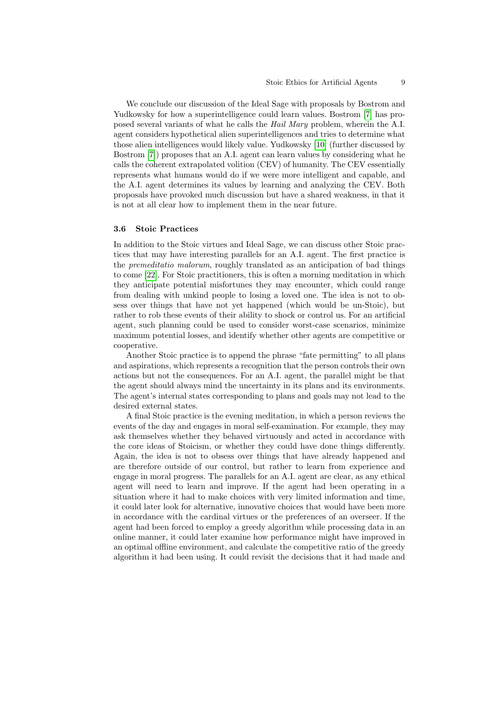We conclude our discussion of the Ideal Sage with proposals by Bostrom and Yudkowsky for how a superintelligence could learn values. Bostrom [\[7\]](#page-11-4) has proposed several variants of what he calls the *Hail Mary* problem, wherein the A.I. agent considers hypothetical alien superintelligences and tries to determine what those alien intelligences would likely value. Yudkowsky [\[10\]](#page-11-7) (further discussed by Bostrom [\[7\]](#page-11-4)) proposes that an A.I. agent can learn values by considering what he calls the coherent extrapolated volition (CEV) of humanity. The CEV essentially represents what humans would do if we were more intelligent and capable, and the A.I. agent determines its values by learning and analyzing the CEV. Both proposals have provoked much discussion but have a shared weakness, in that it is not at all clear how to implement them in the near future.

#### 3.6 Stoic Practices

In addition to the Stoic virtues and Ideal Sage, we can discuss other Stoic practices that may have interesting parallels for an A.I. agent. The first practice is the premeditatio malorum, roughly translated as an anticipation of bad things to come [\[22\]](#page-11-19). For Stoic practitioners, this is often a morning meditation in which they anticipate potential misfortunes they may encounter, which could range from dealing with unkind people to losing a loved one. The idea is not to obsess over things that have not yet happened (which would be un-Stoic), but rather to rob these events of their ability to shock or control us. For an artificial agent, such planning could be used to consider worst-case scenarios, minimize maximum potential losses, and identify whether other agents are competitive or cooperative.

Another Stoic practice is to append the phrase "fate permitting" to all plans and aspirations, which represents a recognition that the person controls their own actions but not the consequences. For an A.I. agent, the parallel might be that the agent should always mind the uncertainty in its plans and its environments. The agent's internal states corresponding to plans and goals may not lead to the desired external states.

A final Stoic practice is the evening meditation, in which a person reviews the events of the day and engages in moral self-examination. For example, they may ask themselves whether they behaved virtuously and acted in accordance with the core ideas of Stoicism, or whether they could have done things differently. Again, the idea is not to obsess over things that have already happened and are therefore outside of our control, but rather to learn from experience and engage in moral progress. The parallels for an A.I. agent are clear, as any ethical agent will need to learn and improve. If the agent had been operating in a situation where it had to make choices with very limited information and time, it could later look for alternative, innovative choices that would have been more in accordance with the cardinal virtues or the preferences of an overseer. If the agent had been forced to employ a greedy algorithm while processing data in an online manner, it could later examine how performance might have improved in an optimal offline environment, and calculate the competitive ratio of the greedy algorithm it had been using. It could revisit the decisions that it had made and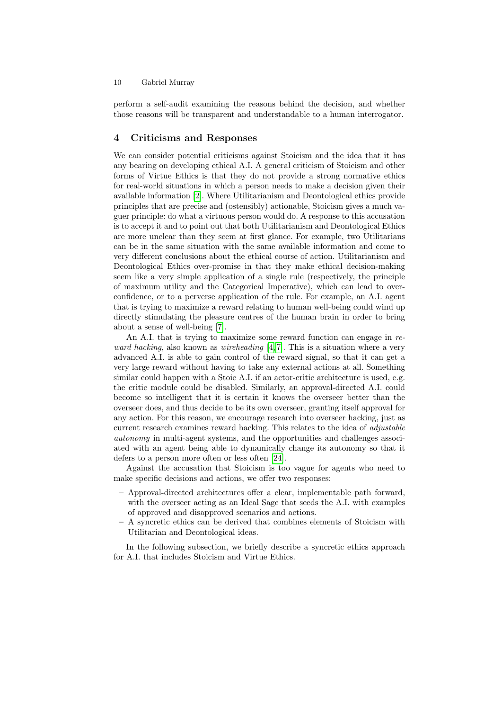perform a self-audit examining the reasons behind the decision, and whether those reasons will be transparent and understandable to a human interrogator.

# <span id="page-9-0"></span>4 Criticisms and Responses

We can consider potential criticisms against Stoicism and the idea that it has any bearing on developing ethical A.I. A general criticism of Stoicism and other forms of Virtue Ethics is that they do not provide a strong normative ethics for real-world situations in which a person needs to make a decision given their available information [\[2\]](#page-10-1). Where Utilitarianism and Deontological ethics provide principles that are precise and (ostensibly) actionable, Stoicism gives a much vaguer principle: do what a virtuous person would do. A response to this accusation is to accept it and to point out that both Utilitarianism and Deontological Ethics are more unclear than they seem at first glance. For example, two Utilitarians can be in the same situation with the same available information and come to very different conclusions about the ethical course of action. Utilitarianism and Deontological Ethics over-promise in that they make ethical decision-making seem like a very simple application of a single rule (respectively, the principle of maximum utility and the Categorical Imperative), which can lead to overconfidence, or to a perverse application of the rule. For example, an A.I. agent that is trying to maximize a reward relating to human well-being could wind up directly stimulating the pleasure centres of the human brain in order to bring about a sense of well-being [\[7\]](#page-11-4).

An A.I. that is trying to maximize some reward function can engage in re-ward hacking, also known as wireheading [\[4,](#page-11-1) [7\]](#page-11-4). This is a situation where a very advanced A.I. is able to gain control of the reward signal, so that it can get a very large reward without having to take any external actions at all. Something similar could happen with a Stoic A.I. if an actor-critic architecture is used, e.g. the critic module could be disabled. Similarly, an approval-directed A.I. could become so intelligent that it is certain it knows the overseer better than the overseer does, and thus decide to be its own overseer, granting itself approval for any action. For this reason, we encourage research into overseer hacking, just as current research examines reward hacking. This relates to the idea of *adjustable* autonomy in multi-agent systems, and the opportunities and challenges associated with an agent being able to dynamically change its autonomy so that it defers to a person more often or less often [\[24\]](#page-11-21).

Against the accusation that Stoicism is too vague for agents who need to make specific decisions and actions, we offer two responses:

- Approval-directed architectures offer a clear, implementable path forward, with the overseer acting as an Ideal Sage that seeds the A.I. with examples of approved and disapproved scenarios and actions.
- A syncretic ethics can be derived that combines elements of Stoicism with Utilitarian and Deontological ideas.

In the following subsection, we briefly describe a syncretic ethics approach for A.I. that includes Stoicism and Virtue Ethics.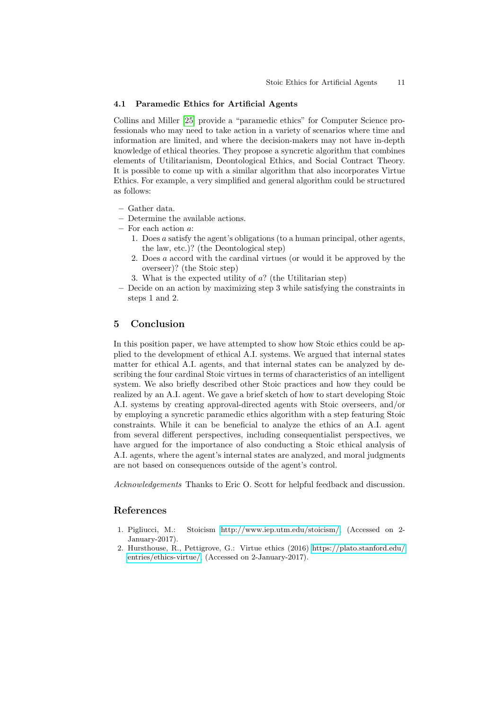#### 4.1 Paramedic Ethics for Artificial Agents

Collins and Miller [\[25\]](#page-11-22) provide a "paramedic ethics" for Computer Science professionals who may need to take action in a variety of scenarios where time and information are limited, and where the decision-makers may not have in-depth knowledge of ethical theories. They propose a syncretic algorithm that combines elements of Utilitarianism, Deontological Ethics, and Social Contract Theory. It is possible to come up with a similar algorithm that also incorporates Virtue Ethics. For example, a very simplified and general algorithm could be structured as follows:

- Gather data.
- Determine the available actions.
- For each action a:
	- 1. Does a satisfy the agent's obligations (to a human principal, other agents, the law, etc.)? (the Deontological step)
	- 2. Does a accord with the cardinal virtues (or would it be approved by the overseer)? (the Stoic step)
	- 3. What is the expected utility of a? (the Utilitarian step)
- Decide on an action by maximizing step 3 while satisfying the constraints in steps 1 and 2.

# <span id="page-10-2"></span>5 Conclusion

In this position paper, we have attempted to show how Stoic ethics could be applied to the development of ethical A.I. systems. We argued that internal states matter for ethical A.I. agents, and that internal states can be analyzed by describing the four cardinal Stoic virtues in terms of characteristics of an intelligent system. We also briefly described other Stoic practices and how they could be realized by an A.I. agent. We gave a brief sketch of how to start developing Stoic A.I. systems by creating approval-directed agents with Stoic overseers, and/or by employing a syncretic paramedic ethics algorithm with a step featuring Stoic constraints. While it can be beneficial to analyze the ethics of an A.I. agent from several different perspectives, including consequentialist perspectives, we have argued for the importance of also conducting a Stoic ethical analysis of A.I. agents, where the agent's internal states are analyzed, and moral judgments are not based on consequences outside of the agent's control.

Acknowledgements Thanks to Eric O. Scott for helpful feedback and discussion.

# References

- <span id="page-10-0"></span>1. Pigliucci, M.: Stoicism [http://www.iep.utm.edu/stoicism/,](http://www.iep.utm.edu/stoicism/) (Accessed on 2- January-2017).
- <span id="page-10-1"></span>2. Hursthouse, R., Pettigrove, G.: Virtue ethics (2016) [https://plato.stanford.edu/](https://plato.stanford.edu/entries/ethics-virtue/) [entries/ethics-virtue/,](https://plato.stanford.edu/entries/ethics-virtue/) (Accessed on 2-January-2017).